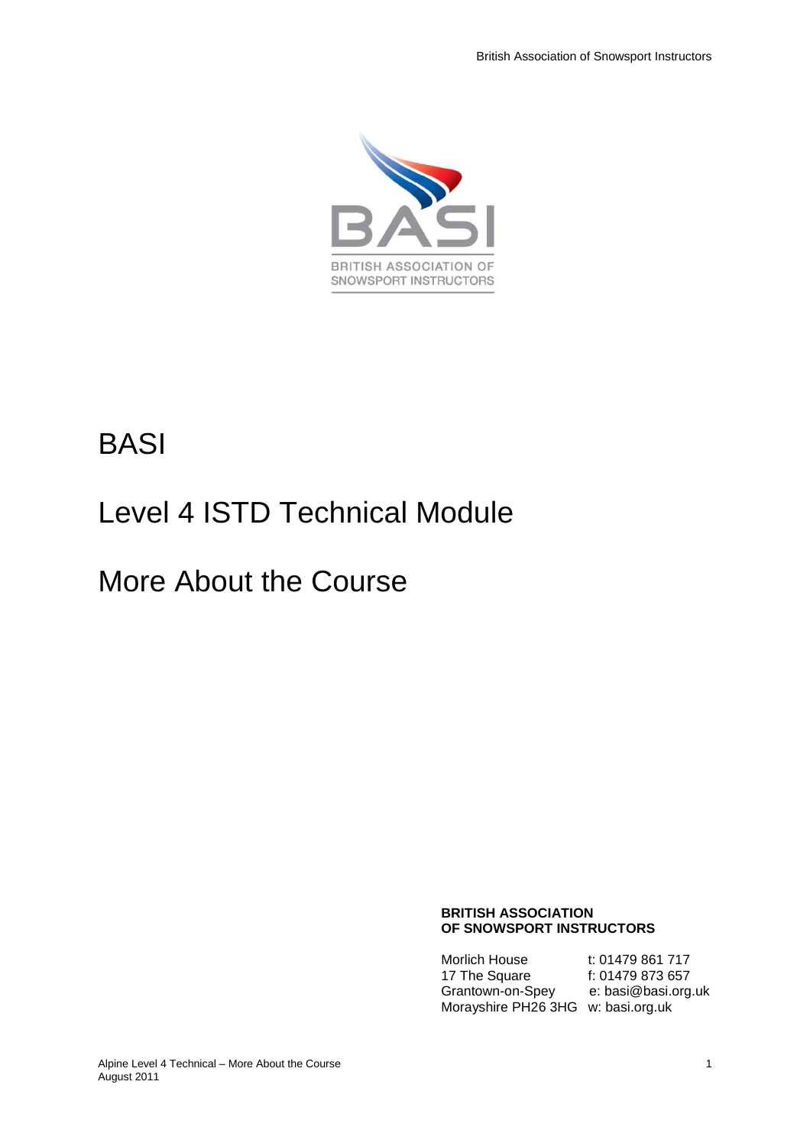

# BASI

# Level 4 ISTD Technical Module

# More About the Course

#### **BRITISH ASSOCIATION OF SNOWSPORT INSTRUCTORS**

Morlich House t: 01479 861 717<br>17 The Square f: 01479 873 657 17 The Square f: 01479 873 657<br>Grantown-on-Spey e: basi@basi.org.uk Grantown-on-Spey Morayshire PH26 3HG w: basi.org.uk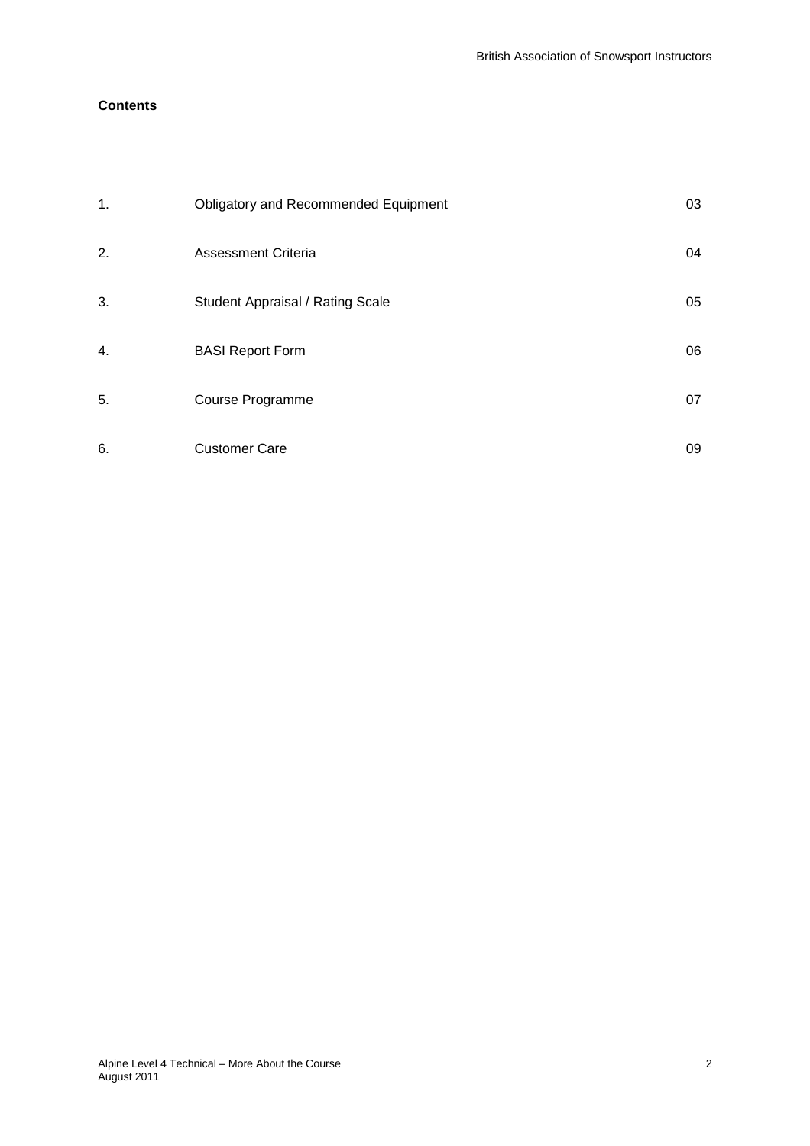# **Contents**

| $\mathbf 1$ . | <b>Obligatory and Recommended Equipment</b> | 03 |
|---------------|---------------------------------------------|----|
| 2.            | <b>Assessment Criteria</b>                  | 04 |
| 3.            | Student Appraisal / Rating Scale            | 05 |
| 4.            | <b>BASI Report Form</b>                     | 06 |
| 5.            | Course Programme                            | 07 |
| 6.            | <b>Customer Care</b>                        | 09 |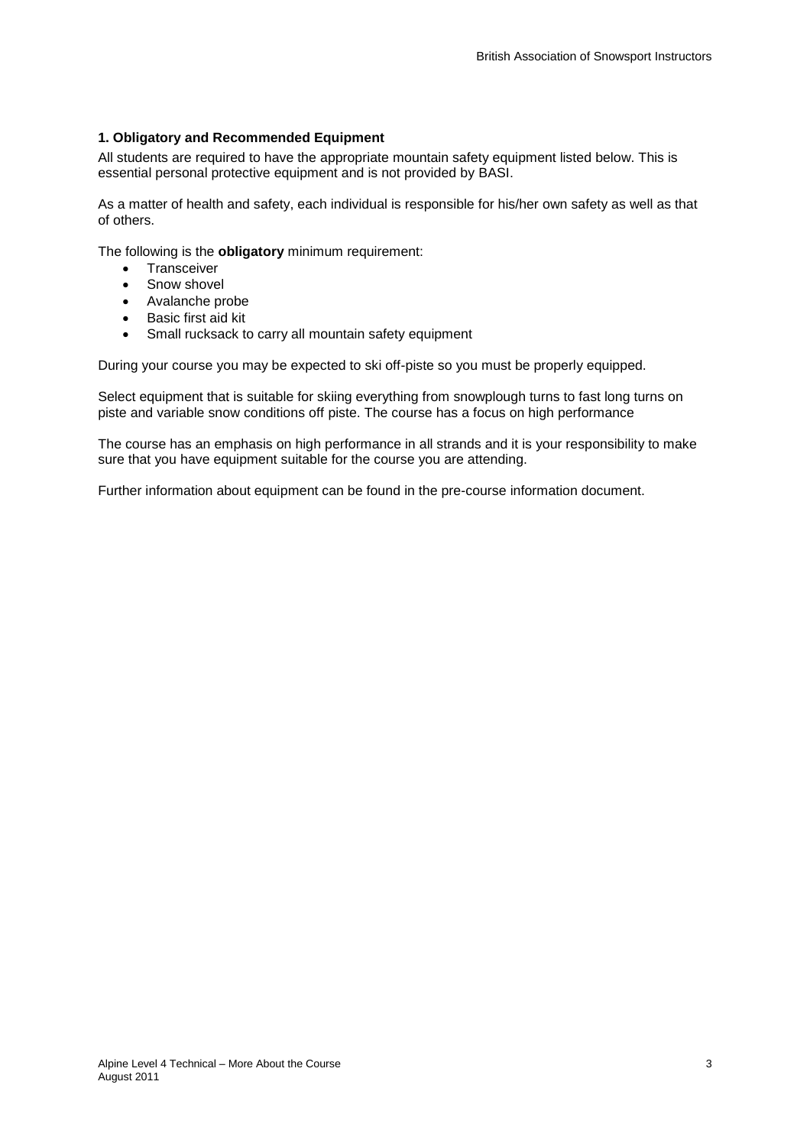# **1. Obligatory and Recommended Equipment**

All students are required to have the appropriate mountain safety equipment listed below. This is essential personal protective equipment and is not provided by BASI.

As a matter of health and safety, each individual is responsible for his/her own safety as well as that of others.

The following is the **obligatory** minimum requirement:

- Transceiver
- Snow shovel
- Avalanche probe
- Basic first aid kit
- Small rucksack to carry all mountain safety equipment

During your course you may be expected to ski off-piste so you must be properly equipped.

Select equipment that is suitable for skiing everything from snowplough turns to fast long turns on piste and variable snow conditions off piste. The course has a focus on high performance

The course has an emphasis on high performance in all strands and it is your responsibility to make sure that you have equipment suitable for the course you are attending.

Further information about equipment can be found in the pre-course information document.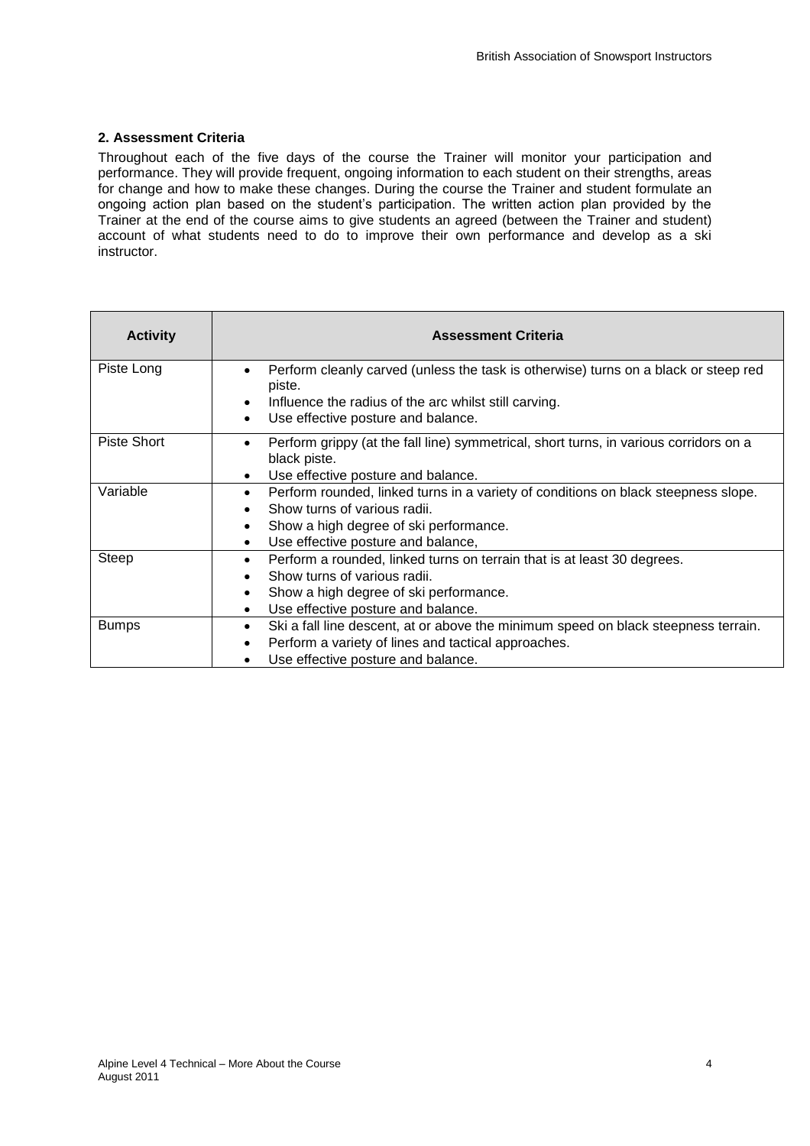### **2. Assessment Criteria**

Throughout each of the five days of the course the Trainer will monitor your participation and performance. They will provide frequent, ongoing information to each student on their strengths, areas for change and how to make these changes. During the course the Trainer and student formulate an ongoing action plan based on the student's participation. The written action plan provided by the Trainer at the end of the course aims to give students an agreed (between the Trainer and student) account of what students need to do to improve their own performance and develop as a ski instructor.

| <b>Activity</b> | <b>Assessment Criteria</b>                                                                                                                                          |
|-----------------|---------------------------------------------------------------------------------------------------------------------------------------------------------------------|
| Piste Long      | Perform cleanly carved (unless the task is otherwise) turns on a black or steep red<br>piste.<br>Influence the radius of the arc whilst still carving.<br>$\bullet$ |
|                 | Use effective posture and balance.<br>٠                                                                                                                             |
| Piste Short     | Perform grippy (at the fall line) symmetrical, short turns, in various corridors on a<br>black piste.                                                               |
|                 | Use effective posture and balance.<br>$\bullet$                                                                                                                     |
| Variable        | Perform rounded, linked turns in a variety of conditions on black steepness slope.<br>$\bullet$                                                                     |
|                 | Show turns of various radii.                                                                                                                                        |
|                 | Show a high degree of ski performance.<br>$\bullet$                                                                                                                 |
|                 | Use effective posture and balance,<br>$\bullet$                                                                                                                     |
| Steep           | Perform a rounded, linked turns on terrain that is at least 30 degrees.<br>$\bullet$                                                                                |
|                 | Show turns of various radii.                                                                                                                                        |
|                 | Show a high degree of ski performance.<br>$\bullet$                                                                                                                 |
|                 | Use effective posture and balance.<br>$\bullet$                                                                                                                     |
| <b>Bumps</b>    | Ski a fall line descent, at or above the minimum speed on black steepness terrain.<br>$\bullet$                                                                     |
|                 | Perform a variety of lines and tactical approaches.                                                                                                                 |
|                 | Use effective posture and balance.                                                                                                                                  |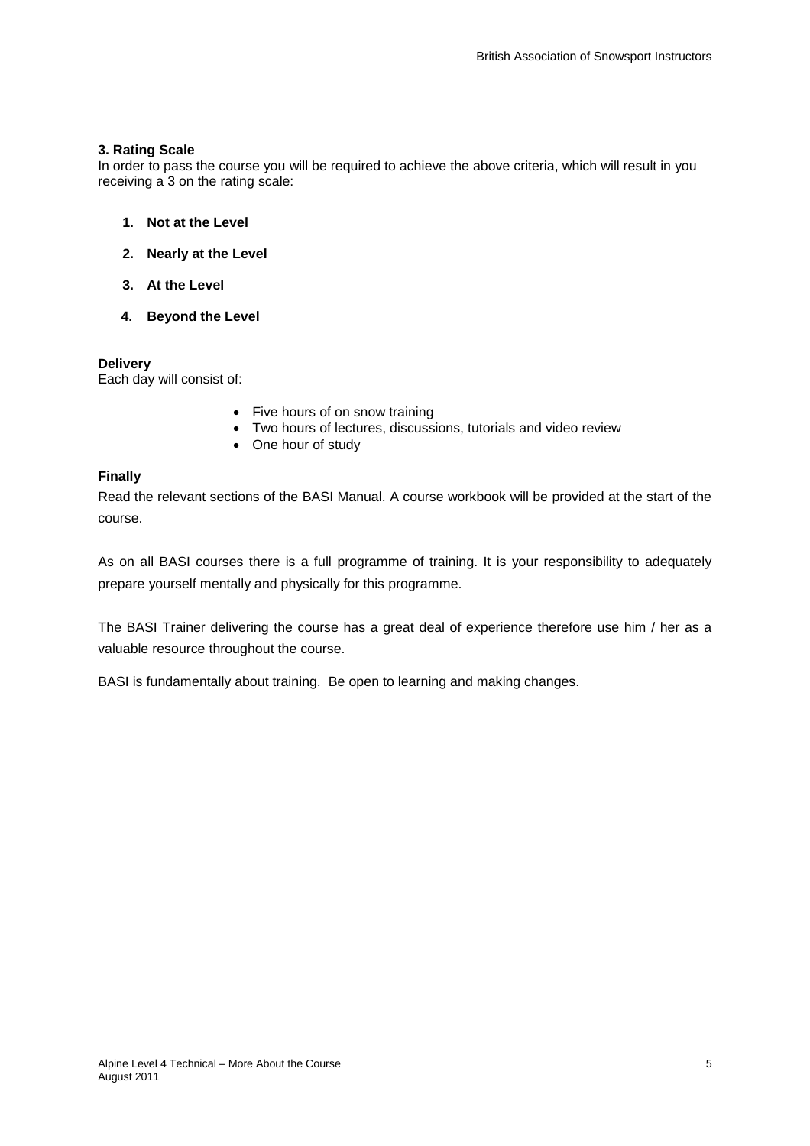### **3. Rating Scale**

In order to pass the course you will be required to achieve the above criteria, which will result in you receiving a 3 on the rating scale:

- **1. Not at the Level**
- **2. Nearly at the Level**
- **3. At the Level**
- **4. Beyond the Level**

#### **Delivery**

Each day will consist of:

- Five hours of on snow training
- Two hours of lectures, discussions, tutorials and video review
- One hour of study

# **Finally**

Read the relevant sections of the BASI Manual. A course workbook will be provided at the start of the course.

As on all BASI courses there is a full programme of training. It is your responsibility to adequately prepare yourself mentally and physically for this programme.

The BASI Trainer delivering the course has a great deal of experience therefore use him / her as a valuable resource throughout the course.

BASI is fundamentally about training. Be open to learning and making changes.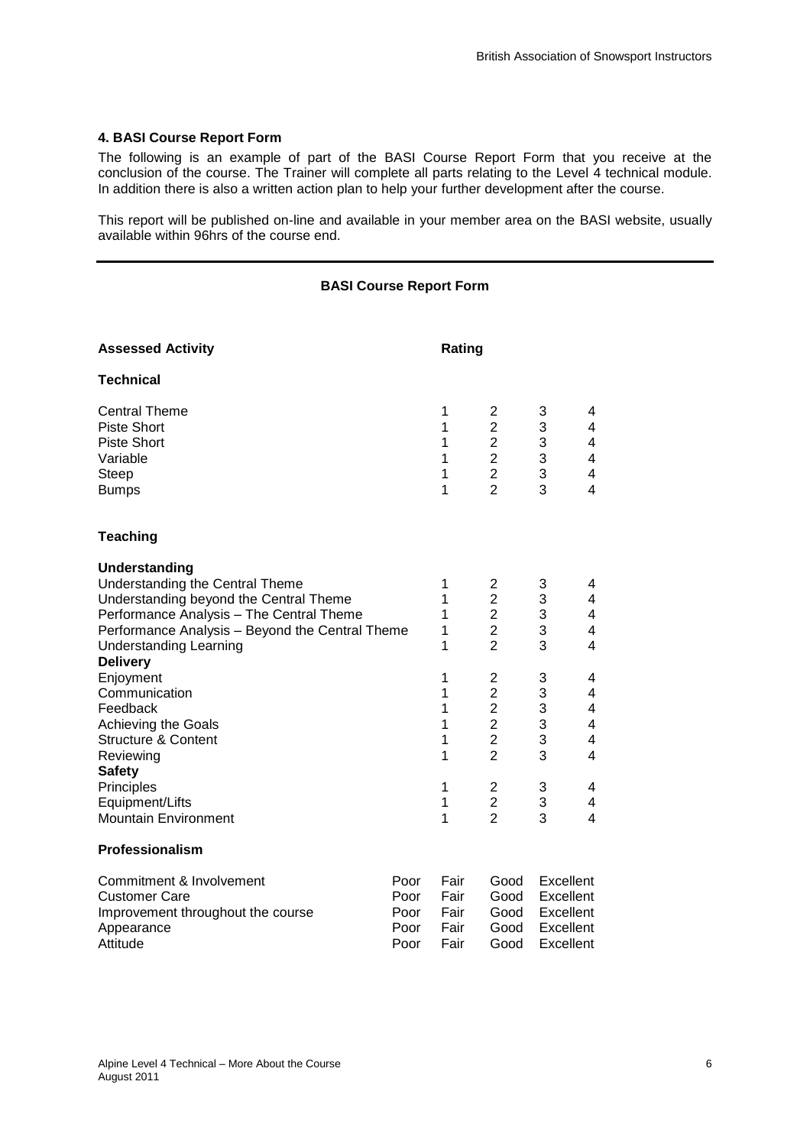#### **4. BASI Course Report Form**

The following is an example of part of the BASI Course Report Form that you receive at the conclusion of the course. The Trainer will complete all parts relating to the Level 4 technical module. In addition there is also a written action plan to help your further development after the course.

This report will be published on-line and available in your member area on the BASI website, usually available within 96hrs of the course end.

#### **BASI Course Report Form**

| <b>Assessed Activity</b>                                                                                                                                                                                                                                                                                                                                                                                                                       |                                      |                                                                    | Rating                                                                                                                                                                                                                                                                              |                                                                    |                                                                                                                                                                                               |  |
|------------------------------------------------------------------------------------------------------------------------------------------------------------------------------------------------------------------------------------------------------------------------------------------------------------------------------------------------------------------------------------------------------------------------------------------------|--------------------------------------|--------------------------------------------------------------------|-------------------------------------------------------------------------------------------------------------------------------------------------------------------------------------------------------------------------------------------------------------------------------------|--------------------------------------------------------------------|-----------------------------------------------------------------------------------------------------------------------------------------------------------------------------------------------|--|
| <b>Technical</b>                                                                                                                                                                                                                                                                                                                                                                                                                               |                                      |                                                                    |                                                                                                                                                                                                                                                                                     |                                                                    |                                                                                                                                                                                               |  |
| <b>Central Theme</b><br><b>Piste Short</b><br><b>Piste Short</b><br>Variable<br><b>Steep</b><br><b>Bumps</b>                                                                                                                                                                                                                                                                                                                                   |                                      | 1<br>1<br>1<br>1<br>1<br>1                                         | 2<br>$\overline{\mathbf{c}}$<br>$\overline{2}$<br>$\overline{2}$<br>$\overline{2}$<br>$\overline{2}$                                                                                                                                                                                | 3<br>3<br>3<br>3<br>3<br>3                                         | 4<br>4<br>4<br>$\overline{\mathbf{4}}$<br>$\overline{\mathbf{4}}$<br>$\overline{4}$                                                                                                           |  |
| <b>Teaching</b>                                                                                                                                                                                                                                                                                                                                                                                                                                |                                      |                                                                    |                                                                                                                                                                                                                                                                                     |                                                                    |                                                                                                                                                                                               |  |
| Understanding<br>Understanding the Central Theme<br>Understanding beyond the Central Theme<br>Performance Analysis - The Central Theme<br>Performance Analysis - Beyond the Central Theme<br><b>Understanding Learning</b><br><b>Delivery</b><br>Enjoyment<br>Communication<br>Feedback<br>Achieving the Goals<br><b>Structure &amp; Content</b><br>Reviewing<br><b>Safety</b><br>Principles<br>Equipment/Lifts<br><b>Mountain Environment</b> |                                      | 1<br>1<br>1<br>1<br>1<br>1<br>1<br>1<br>1<br>1<br>1<br>1<br>1<br>1 | $\overline{\mathbf{c}}$<br>$\overline{2}$<br>$\overline{2}$<br>$\overline{2}$<br>$\overline{2}$<br>$\overline{\mathbf{c}}$<br>$\overline{c}$<br>$\overline{2}$<br>$\overline{c}$<br>$\overline{2}$<br>$\overline{2}$<br>$\overline{\mathbf{c}}$<br>$\overline{2}$<br>$\overline{2}$ | 3<br>3<br>3<br>3<br>3<br>3<br>3<br>3<br>3<br>3<br>3<br>3<br>3<br>3 | 4<br>$\overline{\mathbf{4}}$<br>4<br>4<br>4<br>4<br>4<br>$\overline{\mathbf{4}}$<br>$\overline{\mathbf{4}}$<br>$\overline{\mathbf{4}}$<br>$\overline{4}$<br>4<br>4<br>$\overline{\mathbf{4}}$ |  |
| Professionalism                                                                                                                                                                                                                                                                                                                                                                                                                                |                                      |                                                                    |                                                                                                                                                                                                                                                                                     |                                                                    |                                                                                                                                                                                               |  |
| Commitment & Involvement<br><b>Customer Care</b><br>Improvement throughout the course<br>Appearance<br>Attitude                                                                                                                                                                                                                                                                                                                                | Poor<br>Poor<br>Poor<br>Poor<br>Poor | Fair<br>Fair<br>Fair<br>Fair<br>Fair                               | Good<br>Good<br>Good<br>Good<br>Good                                                                                                                                                                                                                                                | Excellent<br>Excellent<br>Excellent<br>Excellent<br>Excellent      |                                                                                                                                                                                               |  |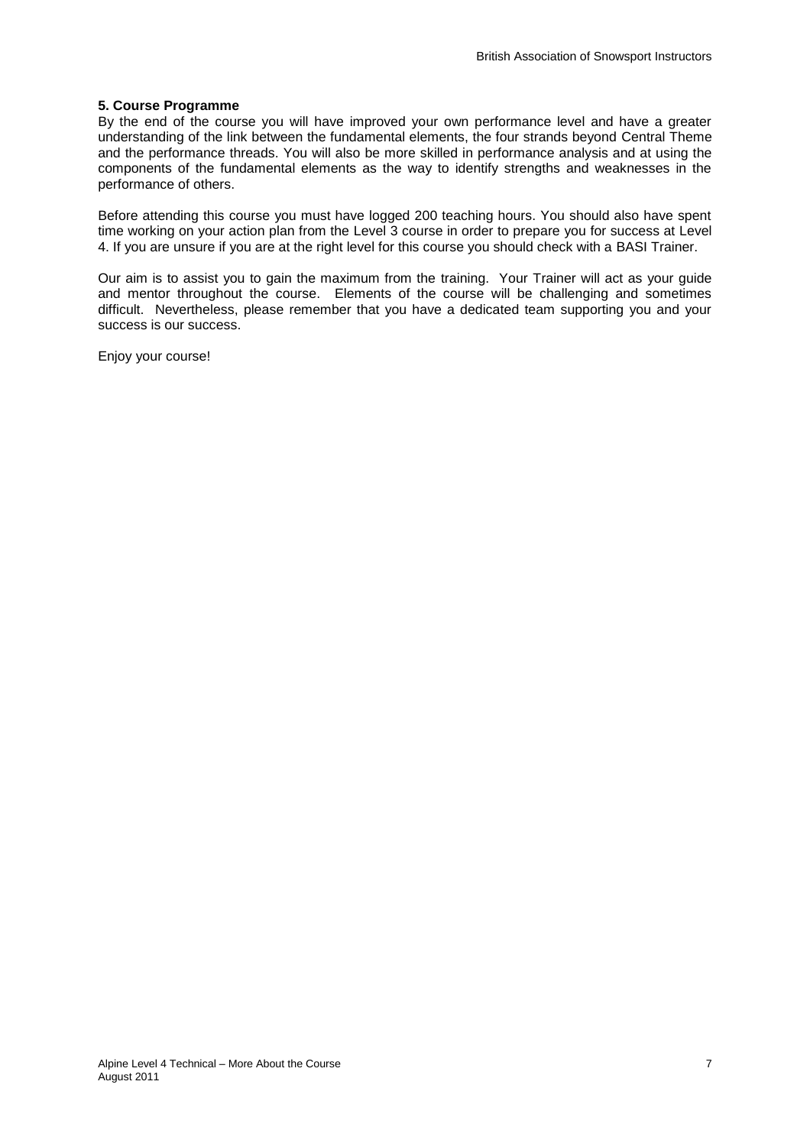#### **5. Course Programme**

By the end of the course you will have improved your own performance level and have a greater understanding of the link between the fundamental elements, the four strands beyond Central Theme and the performance threads. You will also be more skilled in performance analysis and at using the components of the fundamental elements as the way to identify strengths and weaknesses in the performance of others.

Before attending this course you must have logged 200 teaching hours. You should also have spent time working on your action plan from the Level 3 course in order to prepare you for success at Level 4. If you are unsure if you are at the right level for this course you should check with a BASI Trainer.

Our aim is to assist you to gain the maximum from the training. Your Trainer will act as your guide and mentor throughout the course. Elements of the course will be challenging and sometimes difficult. Nevertheless, please remember that you have a dedicated team supporting you and your success is our success.

Enjoy your course!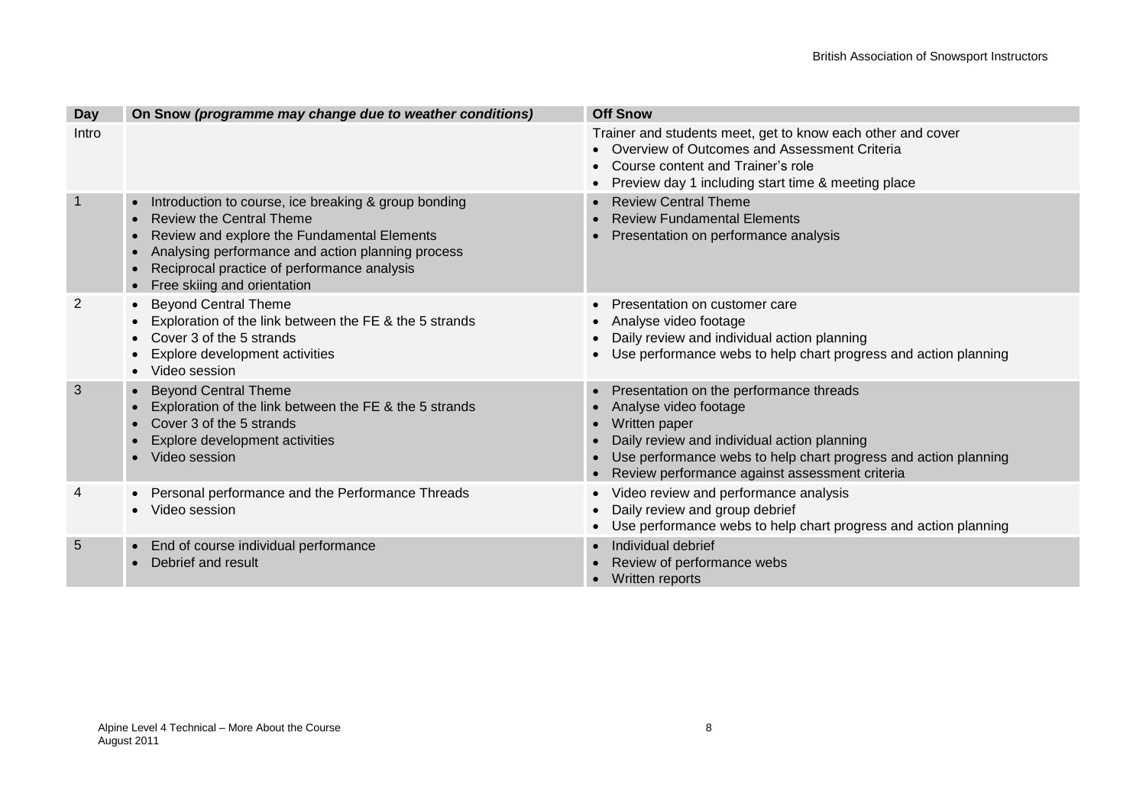| <b>Day</b>     | On Snow (programme may change due to weather conditions)                                                                                                                                                                                                                               | <b>Off Snow</b>                                                                                                                                                                                                                                       |
|----------------|----------------------------------------------------------------------------------------------------------------------------------------------------------------------------------------------------------------------------------------------------------------------------------------|-------------------------------------------------------------------------------------------------------------------------------------------------------------------------------------------------------------------------------------------------------|
| Intro          |                                                                                                                                                                                                                                                                                        | Trainer and students meet, get to know each other and cover<br>• Overview of Outcomes and Assessment Criteria<br>Course content and Trainer's role<br>Preview day 1 including start time & meeting place                                              |
| $\overline{1}$ | Introduction to course, ice breaking & group bonding<br>$\bullet$<br><b>Review the Central Theme</b><br>Review and explore the Fundamental Elements<br>Analysing performance and action planning process<br>Reciprocal practice of performance analysis<br>Free skiing and orientation | <b>Review Central Theme</b><br><b>Review Fundamental Elements</b><br>Presentation on performance analysis                                                                                                                                             |
| 2              | <b>Beyond Central Theme</b><br>Exploration of the link between the FE & the 5 strands<br>Cover 3 of the 5 strands<br>Explore development activities<br>Video session                                                                                                                   | Presentation on customer care<br>Analyse video footage<br>Daily review and individual action planning<br>Use performance webs to help chart progress and action planning                                                                              |
| 3              | <b>Beyond Central Theme</b><br>$\bullet$<br>Exploration of the link between the FE & the 5 strands<br>Cover 3 of the 5 strands<br>Explore development activities<br>Video session                                                                                                      | Presentation on the performance threads<br>Analyse video footage<br>Written paper<br>Daily review and individual action planning<br>Use performance webs to help chart progress and action planning<br>Review performance against assessment criteria |
| 4              | Personal performance and the Performance Threads<br>Video session                                                                                                                                                                                                                      | • Video review and performance analysis<br>Daily review and group debrief<br>Use performance webs to help chart progress and action planning                                                                                                          |
| 5              | End of course individual performance<br>$\bullet$<br>Debrief and result                                                                                                                                                                                                                | Individual debrief<br>Review of performance webs<br>Written reports                                                                                                                                                                                   |